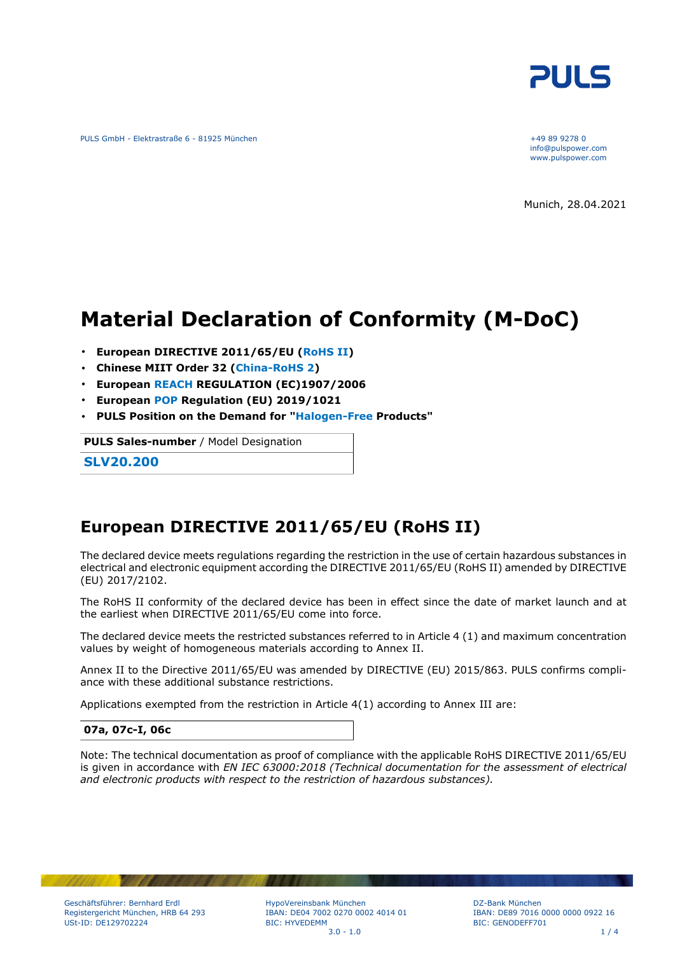

PULS GmbH - Elektrastraße 6 - 81925 München +49 89 9278 0

info@pulspower.com www.pulspower.com

Munich, 28.04.2021

# **Material Declaration of Conformity (M-DoC)**

- **European DIRECTIVE 2011/65/EU (RoHS II)**
- **Chinese MIIT Order 32 (China-RoHS 2)**
- **European REACH REGULATION (EC)1907/2006**
- **European POP Regulation (EU) 2019/1021**
- **PULS Position on the Demand for "Halogen-Free Products"**

**PULS Sales-number** / Model Designation

**SLV20.200**

### **European DIRECTIVE 2011/65/EU (RoHS II)**

The declared device meets regulations regarding the restriction in the use of certain hazardous substances in electrical and electronic equipment according the DIRECTIVE 2011/65/EU (RoHS II) amended by DIRECTIVE (EU) 2017/2102.

The RoHS II conformity of the declared device has been in effect since the date of market launch and at the earliest when DIRECTIVE 2011/65/EU come into force.

The declared device meets the restricted substances referred to in Article 4 (1) and maximum concentration values by weight of homogeneous materials according to Annex II.

Annex II to the Directive 2011/65/EU was amended by DIRECTIVE (EU) 2015/863. PULS confirms compliance with these additional substance restrictions.

Applications exempted from the restriction in Article 4(1) according to Annex III are:

#### **07a, 07c-I, 06c**

Note: The technical documentation as proof of compliance with the applicable RoHS DIRECTIVE 2011/65/EU is given in accordance with *EN IEC 63000:2018 (Technical documentation for the assessment of electrical and electronic products with respect to the restriction of hazardous substances).*

HypoVereinsbank München IBAN: DE04 7002 0270 0002 4014 01 BIC: HYVEDEMM  $3.0 - 1.0$  1 / 4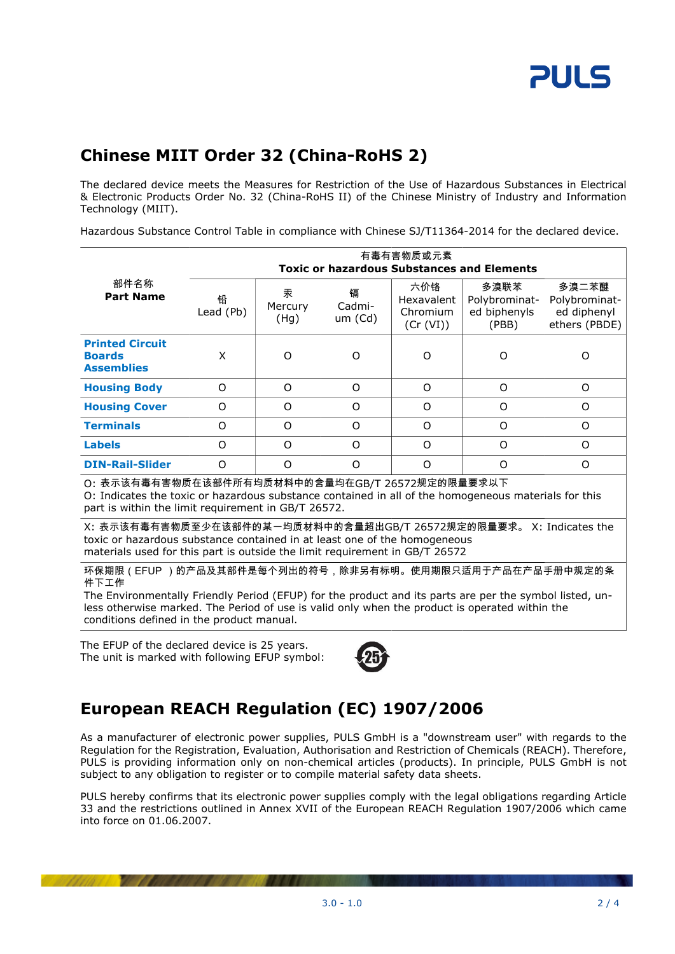## **Chinese MIIT Order 32 (China-RoHS 2)**

The declared device meets the Measures for Restriction of the Use of Hazardous Substances in Electrical & Electronic Products Order No. 32 (China-RoHS II) of the Chinese Ministry of Industry and Information Technology (MIIT).

Hazardous Substance Control Table in compliance with Chinese SJ/T11364-2014 for the declared device.

| 部件名称<br><b>Part Name</b>                                                                                                                                                                                                                                                              | 有毒有害物质或元素<br><b>Toxic or hazardous Substances and Elements</b> |                      |                        |                                                   |                                                |                                                        |  |
|---------------------------------------------------------------------------------------------------------------------------------------------------------------------------------------------------------------------------------------------------------------------------------------|----------------------------------------------------------------|----------------------|------------------------|---------------------------------------------------|------------------------------------------------|--------------------------------------------------------|--|
|                                                                                                                                                                                                                                                                                       | 铅<br>Lead (Pb)                                                 | 汞<br>Mercury<br>(Hg) | 镉<br>Cadmi-<br>um (Cd) | 六价铬<br><b>Hexavalent</b><br>Chromium<br>(Cr (VI)) | 多溴联苯<br>Polybrominat-<br>ed biphenyls<br>(PBB) | 多溴二苯醚<br>Polybrominat-<br>ed diphenyl<br>ethers (PBDE) |  |
| <b>Printed Circuit</b><br><b>Boards</b><br><b>Assemblies</b>                                                                                                                                                                                                                          | X                                                              | O                    | ∩                      | ∩                                                 | Ω                                              | O                                                      |  |
| <b>Housing Body</b>                                                                                                                                                                                                                                                                   | $\Omega$                                                       | $\Omega$             | $\Omega$               | $\Omega$                                          | O                                              | $\Omega$                                               |  |
| <b>Housing Cover</b>                                                                                                                                                                                                                                                                  | $\Omega$                                                       | $\Omega$             | $\Omega$               | $\Omega$                                          | $\Omega$                                       | $\Omega$                                               |  |
| <b>Terminals</b>                                                                                                                                                                                                                                                                      | $\Omega$                                                       | O                    | $\Omega$               | $\Omega$                                          | $\Omega$                                       | $\Omega$                                               |  |
| <b>Labels</b>                                                                                                                                                                                                                                                                         | $\Omega$                                                       | O                    | $\Omega$               | $\Omega$                                          | O                                              | O                                                      |  |
| <b>DIN-Rail-Slider</b>                                                                                                                                                                                                                                                                | $\Omega$                                                       | $\Omega$             | $\Omega$               | $\Omega$                                          | $\Omega$                                       | $\Omega$                                               |  |
| O: 表示该有毒有害物质在该部件所有均质材料中的含量均在GB/T 26572规定的限量要求以下<br>O: Indicates the toxic or hazardous substance contained in all of the homogeneous materials for this<br>part is within the limit requirement in GB/T 26572.<br>V,主手这右手右宝枷氏吞小左这如此的甘二掉氏甚料由的会具势山CD/T 24572坰宝的阻旱西步<br>V. Tadisatas tha |                                                                |                      |                        |                                                   |                                                |                                                        |  |

X: 表示该有毒有害物质至少在该部件的某一均质材料中的含量超出GB/T 26572规定的限量要求。 X: Indicates the toxic or hazardous substance contained in at least one of the homogeneous materials used for this part is outside the limit requirement in GB/T 26572

环保期限(EFUP )的产品及其部件是每个列出的符号,除非另有标明。使用期限只适用于产品在产品手册中规定的条 件下工作

The Environmentally Friendly Period (EFUP) for the product and its parts are per the symbol listed, unless otherwise marked. The Period of use is valid only when the product is operated within the conditions defined in the product manual.

The EFUP of the declared device is 25 years. The unit is marked with following EFUP symbol:



## **European REACH Regulation (EC) 1907/2006**

As a manufacturer of electronic power supplies, PULS GmbH is a "downstream user" with regards to the Regulation for the Registration, Evaluation, Authorisation and Restriction of Chemicals (REACH). Therefore, PULS is providing information only on non-chemical articles (products). In principle, PULS GmbH is not subject to any obligation to register or to compile material safety data sheets.

PULS hereby confirms that its electronic power supplies comply with the legal obligations regarding Article 33 and the restrictions outlined in Annex XVII of the European REACH Regulation 1907/2006 which came into force on 01.06.2007.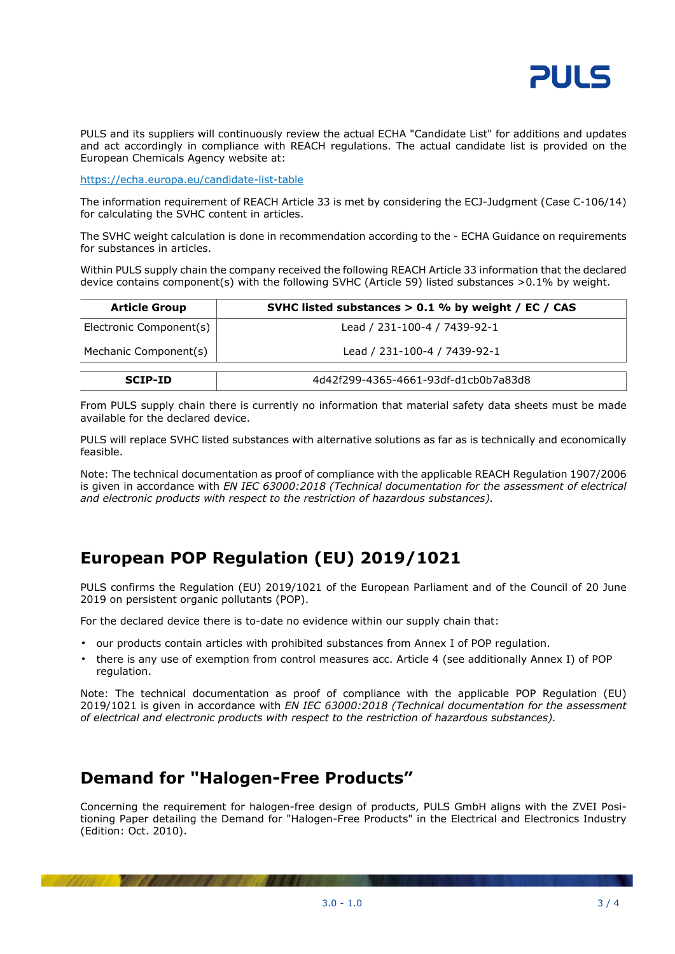

PULS and its suppliers will continuously review the actual ECHA "Candidate List" for additions and updates and act accordingly in compliance with REACH regulations. The actual candidate list is provided on the European Chemicals Agency website at:

<https://echa.europa.eu/candidate-list-table>

The information requirement of REACH Article 33 is met by considering the ECJ-Judgment (Case C-106/14) for calculating the SVHC content in articles.

The SVHC weight calculation is done in recommendation according to the - ECHA Guidance on requirements for substances in articles.

Within PULS supply chain the company received the following REACH Article 33 information that the declared device contains component(s) with the following SVHC (Article 59) listed substances >0.1% by weight.

| <b>Article Group</b>    | SVHC listed substances $> 0.1$ % by weight / EC / CAS |
|-------------------------|-------------------------------------------------------|
| Electronic Component(s) | Lead / 231-100-4 / 7439-92-1                          |
| Mechanic Component(s)   | Lead / 231-100-4 / 7439-92-1                          |
| <b>SCIP-ID</b>          | 4d42f299-4365-4661-93df-d1cb0b7a83d8                  |

From PULS supply chain there is currently no information that material safety data sheets must be made available for the declared device.

PULS will replace SVHC listed substances with alternative solutions as far as is technically and economically feasible.

Note: The technical documentation as proof of compliance with the applicable REACH Regulation 1907/2006 is given in accordance with *EN IEC 63000:2018 (Technical documentation for the assessment of electrical and electronic products with respect to the restriction of hazardous substances).*

## **European POP Regulation (EU) 2019/1021**

PULS confirms the Regulation (EU) 2019/1021 of the European Parliament and of the Council of 20 June 2019 on persistent organic pollutants (POP).

For the declared device there is to-date no evidence within our supply chain that:

- our products contain articles with prohibited substances from Annex I of POP regulation.
- there is any use of exemption from control measures acc. Article 4 (see additionally Annex I) of POP regulation.

Note: The technical documentation as proof of compliance with the applicable POP Regulation (EU) 2019/1021 is given in accordance with *EN IEC 63000:2018 (Technical documentation for the assessment of electrical and electronic products with respect to the restriction of hazardous substances).*

### **Demand for "Halogen-Free Products"**

Concerning the requirement for halogen-free design of products, PULS GmbH aligns with the ZVEI Positioning Paper detailing the Demand for "Halogen-Free Products" in the Electrical and Electronics Industry (Edition: Oct. 2010).